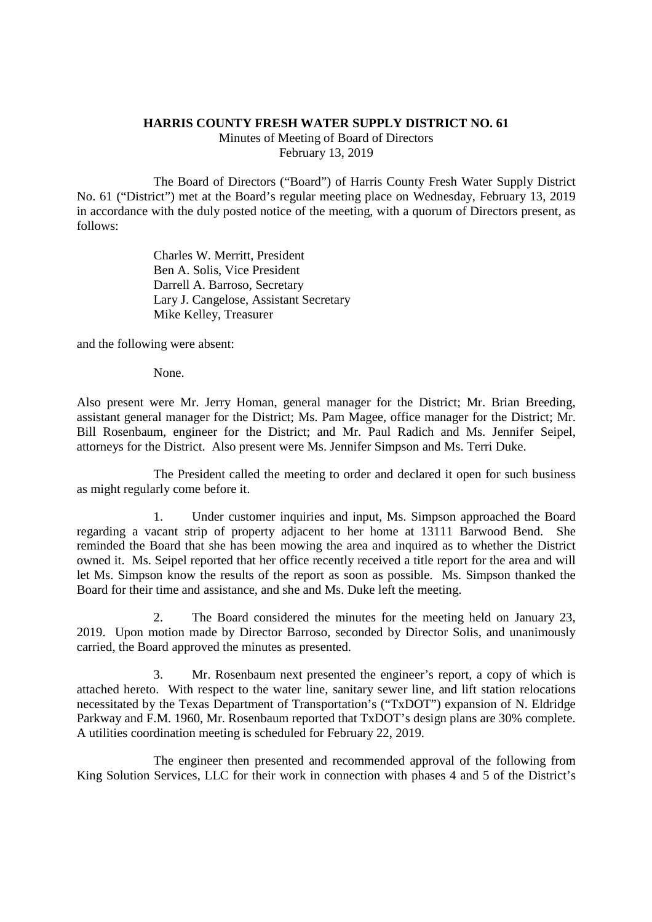## **HARRIS COUNTY FRESH WATER SUPPLY DISTRICT NO. 61**

Minutes of Meeting of Board of Directors February 13, 2019

The Board of Directors ("Board") of Harris County Fresh Water Supply District No. 61 ("District") met at the Board's regular meeting place on Wednesday, February 13, 2019 in accordance with the duly posted notice of the meeting, with a quorum of Directors present, as follows:

> Charles W. Merritt, President Ben A. Solis, Vice President Darrell A. Barroso, Secretary Lary J. Cangelose, Assistant Secretary Mike Kelley, Treasurer

and the following were absent:

None.

Also present were Mr. Jerry Homan, general manager for the District; Mr. Brian Breeding, assistant general manager for the District; Ms. Pam Magee, office manager for the District; Mr. Bill Rosenbaum, engineer for the District; and Mr. Paul Radich and Ms. Jennifer Seipel, attorneys for the District. Also present were Ms. Jennifer Simpson and Ms. Terri Duke.

The President called the meeting to order and declared it open for such business as might regularly come before it.

1. Under customer inquiries and input, Ms. Simpson approached the Board regarding a vacant strip of property adjacent to her home at 13111 Barwood Bend. She reminded the Board that she has been mowing the area and inquired as to whether the District owned it. Ms. Seipel reported that her office recently received a title report for the area and will let Ms. Simpson know the results of the report as soon as possible. Ms. Simpson thanked the Board for their time and assistance, and she and Ms. Duke left the meeting.

2. The Board considered the minutes for the meeting held on January 23, 2019. Upon motion made by Director Barroso, seconded by Director Solis, and unanimously carried, the Board approved the minutes as presented.

3. Mr. Rosenbaum next presented the engineer's report, a copy of which is attached hereto. With respect to the water line, sanitary sewer line, and lift station relocations necessitated by the Texas Department of Transportation's ("TxDOT") expansion of N. Eldridge Parkway and F.M. 1960, Mr. Rosenbaum reported that TxDOT's design plans are 30% complete. A utilities coordination meeting is scheduled for February 22, 2019.

The engineer then presented and recommended approval of the following from King Solution Services, LLC for their work in connection with phases 4 and 5 of the District's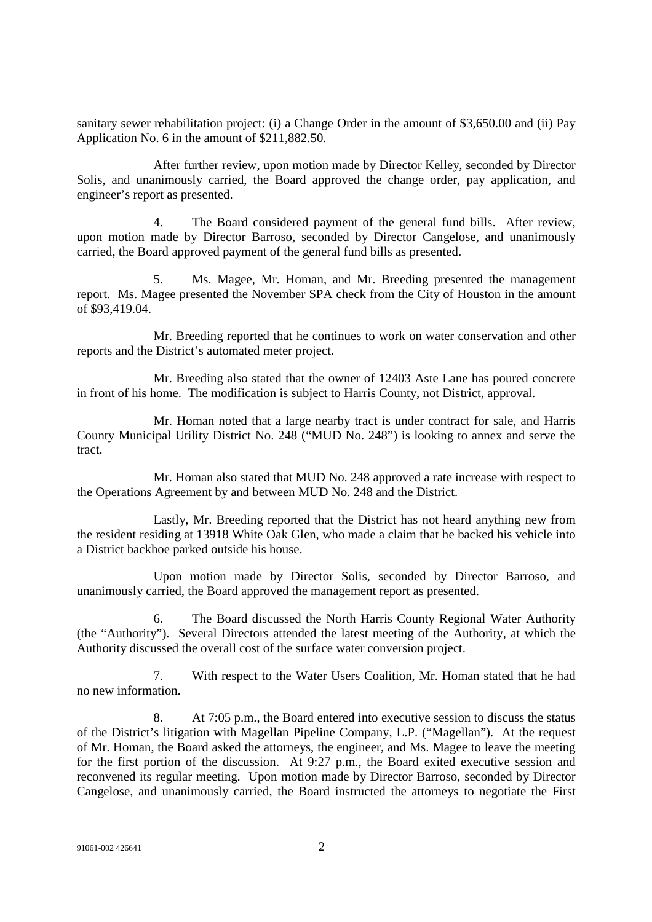sanitary sewer rehabilitation project: (i) a Change Order in the amount of \$3,650.00 and (ii) Pay Application No. 6 in the amount of \$211,882.50.

After further review, upon motion made by Director Kelley, seconded by Director Solis, and unanimously carried, the Board approved the change order, pay application, and engineer's report as presented.

4. The Board considered payment of the general fund bills. After review, upon motion made by Director Barroso, seconded by Director Cangelose, and unanimously carried, the Board approved payment of the general fund bills as presented.

5. Ms. Magee, Mr. Homan, and Mr. Breeding presented the management report. Ms. Magee presented the November SPA check from the City of Houston in the amount of \$93,419.04.

Mr. Breeding reported that he continues to work on water conservation and other reports and the District's automated meter project.

Mr. Breeding also stated that the owner of 12403 Aste Lane has poured concrete in front of his home. The modification is subject to Harris County, not District, approval.

Mr. Homan noted that a large nearby tract is under contract for sale, and Harris County Municipal Utility District No. 248 ("MUD No. 248") is looking to annex and serve the tract.

Mr. Homan also stated that MUD No. 248 approved a rate increase with respect to the Operations Agreement by and between MUD No. 248 and the District.

Lastly, Mr. Breeding reported that the District has not heard anything new from the resident residing at 13918 White Oak Glen, who made a claim that he backed his vehicle into a District backhoe parked outside his house.

Upon motion made by Director Solis, seconded by Director Barroso, and unanimously carried, the Board approved the management report as presented.

6. The Board discussed the North Harris County Regional Water Authority (the "Authority"). Several Directors attended the latest meeting of the Authority, at which the Authority discussed the overall cost of the surface water conversion project.

7. With respect to the Water Users Coalition, Mr. Homan stated that he had no new information.

8. At 7:05 p.m., the Board entered into executive session to discuss the status of the District's litigation with Magellan Pipeline Company, L.P. ("Magellan"). At the request of Mr. Homan, the Board asked the attorneys, the engineer, and Ms. Magee to leave the meeting for the first portion of the discussion. At 9:27 p.m., the Board exited executive session and reconvened its regular meeting. Upon motion made by Director Barroso, seconded by Director Cangelose, and unanimously carried, the Board instructed the attorneys to negotiate the First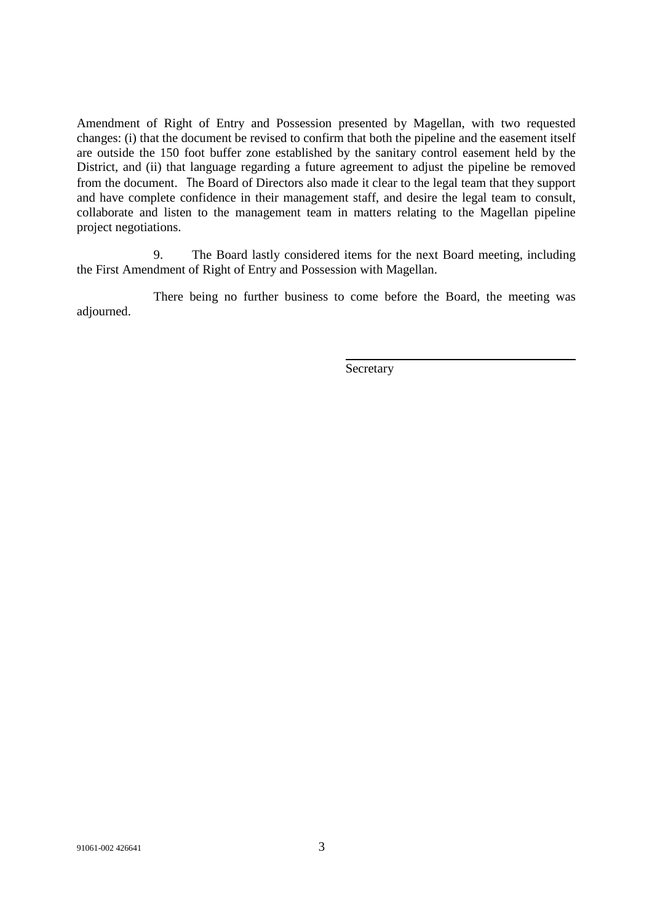Amendment of Right of Entry and Possession presented by Magellan, with two requested changes: (i) that the document be revised to confirm that both the pipeline and the easement itself are outside the 150 foot buffer zone established by the sanitary control easement held by the District, and (ii) that language regarding a future agreement to adjust the pipeline be removed from the document. The Board of Directors also made it clear to the legal team that they support and have complete confidence in their management staff, and desire the legal team to consult, collaborate and listen to the management team in matters relating to the Magellan pipeline project negotiations.

9. The Board lastly considered items for the next Board meeting, including the First Amendment of Right of Entry and Possession with Magellan.

There being no further business to come before the Board, the meeting was adjourned.

Secretary